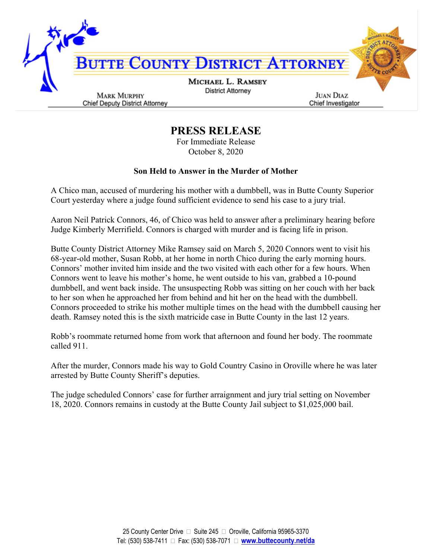

**PRESS RELEASE**

For Immediate Release October 8, 2020

## **Son Held to Answer in the Murder of Mother**

A Chico man, accused of murdering his mother with a dumbbell, was in Butte County Superior Court yesterday where a judge found sufficient evidence to send his case to a jury trial.

Aaron Neil Patrick Connors, 46, of Chico was held to answer after a preliminary hearing before Judge Kimberly Merrifield. Connors is charged with murder and is facing life in prison.

Butte County District Attorney Mike Ramsey said on March 5, 2020 Connors went to visit his 68-year-old mother, Susan Robb, at her home in north Chico during the early morning hours. Connors' mother invited him inside and the two visited with each other for a few hours. When Connors went to leave his mother's home, he went outside to his van, grabbed a 10-pound dumbbell, and went back inside. The unsuspecting Robb was sitting on her couch with her back to her son when he approached her from behind and hit her on the head with the dumbbell. Connors proceeded to strike his mother multiple times on the head with the dumbbell causing her death. Ramsey noted this is the sixth matricide case in Butte County in the last 12 years.

Robb's roommate returned home from work that afternoon and found her body. The roommate called 911.

After the murder, Connors made his way to Gold Country Casino in Oroville where he was later arrested by Butte County Sheriff's deputies.

The judge scheduled Connors' case for further arraignment and jury trial setting on November 18, 2020. Connors remains in custody at the Butte County Jail subject to \$1,025,000 bail.